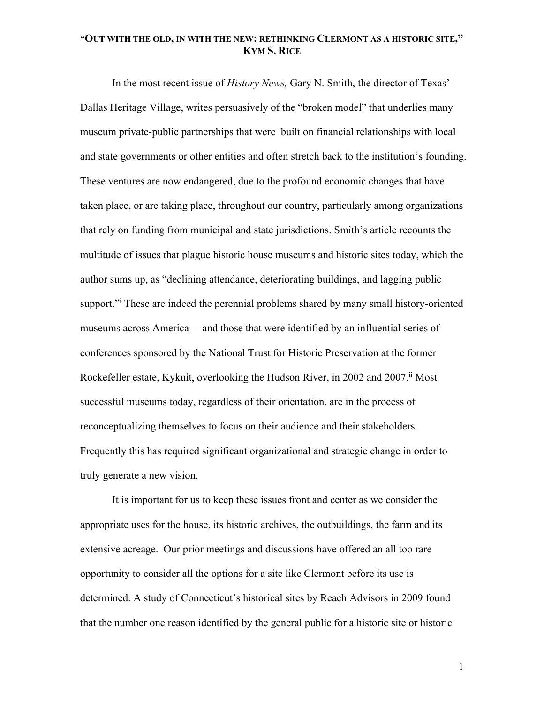In the most recent issue of *History News,* Gary N. Smith, the director of Texas' Dallas Heritage Village, writes persuasively of the "broken model" that underlies many museum private-public partnerships that were built on financial relationships with local and state governments or other entities and often stretch back to the institution's founding. These ventures are now endangered, due to the profound economic changes that have taken place, or are taking place, throughout our country, particularly among organizations that rely on funding from municipal and state jurisdictions. Smith's article recounts the multitude of issues that plague historic house museums and historic sites today, which the author sums up, as "declining attendance, deteriorating buildings, and lagging public support." These are indeed the perennial problems shared by many small history-oriented museums across America--- and those that were identified by an influential series of conferences sponsored by the National Trust for Historic Preservation at the former Rockefeller estate, Kykuit, overlooking the Hudson River, in 2002 and 2007.ii Most successful museums today, regardless of their orientation, are in the process of reconceptualizing themselves to focus on their audience and their stakeholders. Frequently this has required significant organizational and strategic change in order to truly generate a new vision.

It is important for us to keep these issues front and center as we consider the appropriate uses for the house, its historic archives, the outbuildings, the farm and its extensive acreage. Our prior meetings and discussions have offered an all too rare opportunity to consider all the options for a site like Clermont before its use is determined. A study of Connecticut's historical sites by Reach Advisors in 2009 found that the number one reason identified by the general public for a historic site or historic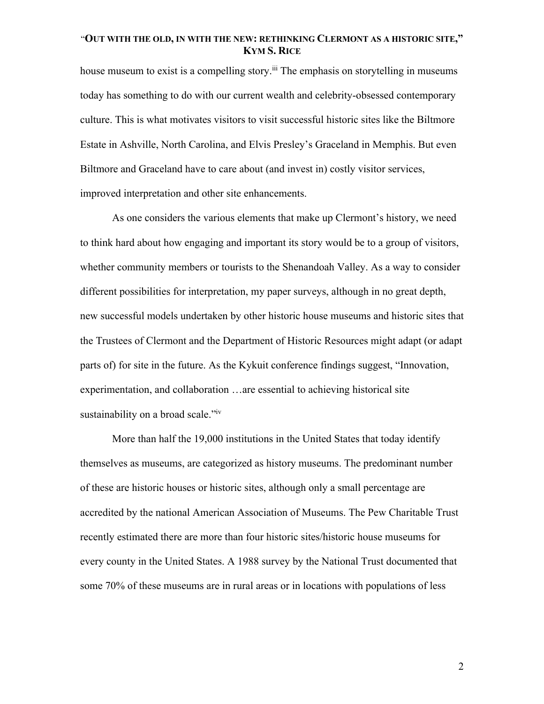house museum to exist is a compelling story.<sup>iii</sup> The emphasis on storytelling in museums today has something to do with our current wealth and celebrity-obsessed contemporary culture. This is what motivates visitors to visit successful historic sites like the Biltmore Estate in Ashville, North Carolina, and Elvis Presley's Graceland in Memphis. But even Biltmore and Graceland have to care about (and invest in) costly visitor services, improved interpretation and other site enhancements.

As one considers the various elements that make up Clermont's history, we need to think hard about how engaging and important its story would be to a group of visitors, whether community members or tourists to the Shenandoah Valley. As a way to consider different possibilities for interpretation, my paper surveys, although in no great depth, new successful models undertaken by other historic house museums and historic sites that the Trustees of Clermont and the Department of Historic Resources might adapt (or adapt parts of) for site in the future. As the Kykuit conference findings suggest, "Innovation, experimentation, and collaboration …are essential to achieving historical site sustainability on a broad scale."iv

More than half the 19,000 institutions in the United States that today identify themselves as museums, are categorized as history museums. The predominant number of these are historic houses or historic sites, although only a small percentage are accredited by the national American Association of Museums. The Pew Charitable Trust recently estimated there are more than four historic sites/historic house museums for every county in the United States. A 1988 survey by the National Trust documented that some 70% of these museums are in rural areas or in locations with populations of less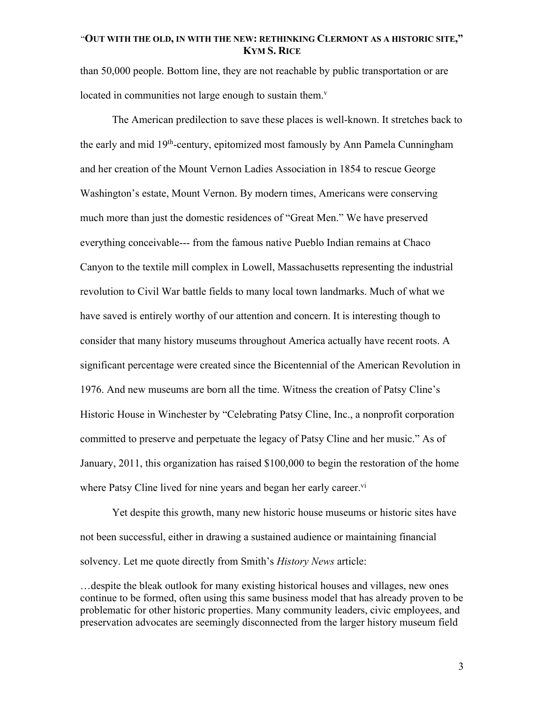than 50,000 people. Bottom line, they are not reachable by public transportation or are located in communities not large enough to sustain them. $v$ 

The American predilection to save these places is well-known. It stretches back to the early and mid 19th-century, epitomized most famously by Ann Pamela Cunningham and her creation of the Mount Vernon Ladies Association in 1854 to rescue George Washington's estate, Mount Vernon. By modern times, Americans were conserving much more than just the domestic residences of "Great Men." We have preserved everything conceivable--- from the famous native Pueblo Indian remains at Chaco Canyon to the textile mill complex in Lowell, Massachusetts representing the industrial revolution to Civil War battle fields to many local town landmarks. Much of what we have saved is entirely worthy of our attention and concern. It is interesting though to consider that many history museums throughout America actually have recent roots. A significant percentage were created since the Bicentennial of the American Revolution in 1976. And new museums are born all the time. Witness the creation of Patsy Cline's Historic House in Winchester by "Celebrating Patsy Cline, Inc., a nonprofit corporation committed to preserve and perpetuate the legacy of Patsy Cline and her music." As of January, 2011, this organization has raised \$100,000 to begin the restoration of the home where Patsy Cline lived for nine years and began her early career.<sup>vi</sup>

Yet despite this growth, many new historic house museums or historic sites have not been successful, either in drawing a sustained audience or maintaining financial solvency. Let me quote directly from Smith's *History News* article:

…despite the bleak outlook for many existing historical houses and villages, new ones continue to be formed, often using this same business model that has already proven to be problematic for other historic properties. Many community leaders, civic employees, and preservation advocates are seemingly disconnected from the larger history museum field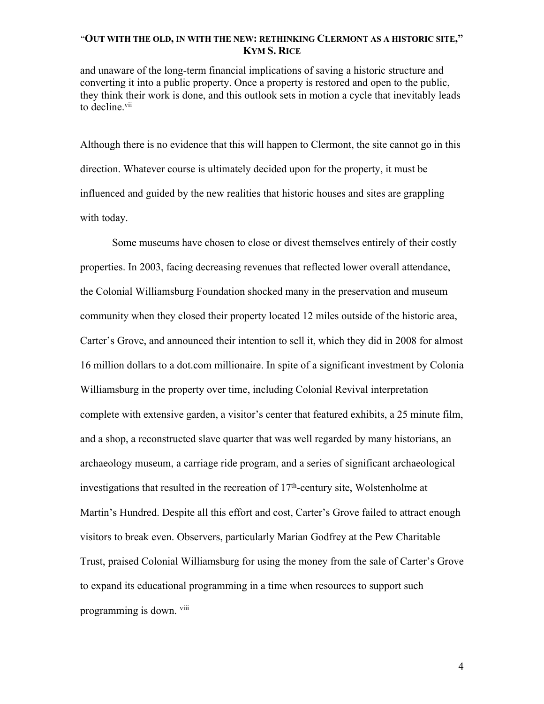and unaware of the long-term financial implications of saving a historic structure and converting it into a public property. Once a property is restored and open to the public, they think their work is done, and this outlook sets in motion a cycle that inevitably leads to decline.<sup>vii</sup>

Although there is no evidence that this will happen to Clermont, the site cannot go in this direction. Whatever course is ultimately decided upon for the property, it must be influenced and guided by the new realities that historic houses and sites are grappling with today.

Some museums have chosen to close or divest themselves entirely of their costly properties. In 2003, facing decreasing revenues that reflected lower overall attendance, the Colonial Williamsburg Foundation shocked many in the preservation and museum community when they closed their property located 12 miles outside of the historic area, Carter's Grove, and announced their intention to sell it, which they did in 2008 for almost 16 million dollars to a dot.com millionaire. In spite of a significant investment by Colonia Williamsburg in the property over time, including Colonial Revival interpretation complete with extensive garden, a visitor's center that featured exhibits, a 25 minute film, and a shop, a reconstructed slave quarter that was well regarded by many historians, an archaeology museum, a carriage ride program, and a series of significant archaeological investigations that resulted in the recreation of  $17<sup>th</sup>$ -century site, Wolstenholme at Martin's Hundred. Despite all this effort and cost, Carter's Grove failed to attract enough visitors to break even. Observers, particularly Marian Godfrey at the Pew Charitable Trust, praised Colonial Williamsburg for using the money from the sale of Carter's Grove to expand its educational programming in a time when resources to support such programming is down. viii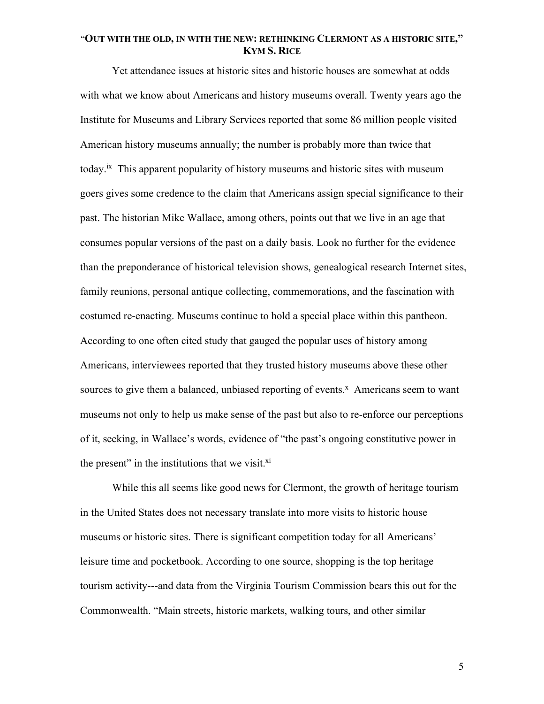Yet attendance issues at historic sites and historic houses are somewhat at odds with what we know about Americans and history museums overall. Twenty years ago the Institute for Museums and Library Services reported that some 86 million people visited American history museums annually; the number is probably more than twice that today.<sup>ix</sup> This apparent popularity of history museums and historic sites with museum goers gives some credence to the claim that Americans assign special significance to their past. The historian Mike Wallace, among others, points out that we live in an age that consumes popular versions of the past on a daily basis. Look no further for the evidence than the preponderance of historical television shows, genealogical research Internet sites, family reunions, personal antique collecting, commemorations, and the fascination with costumed re-enacting. Museums continue to hold a special place within this pantheon. According to one often cited study that gauged the popular uses of history among Americans, interviewees reported that they trusted history museums above these other sources to give them a balanced, unbiased reporting of events.<sup>x</sup> Americans seem to want museums not only to help us make sense of the past but also to re-enforce our perceptions of it, seeking, in Wallace's words, evidence of "the past's ongoing constitutive power in the present" in the institutions that we visit. $x_i$ 

While this all seems like good news for Clermont, the growth of heritage tourism in the United States does not necessary translate into more visits to historic house museums or historic sites. There is significant competition today for all Americans' leisure time and pocketbook. According to one source, shopping is the top heritage tourism activity---and data from the Virginia Tourism Commission bears this out for the Commonwealth. "Main streets, historic markets, walking tours, and other similar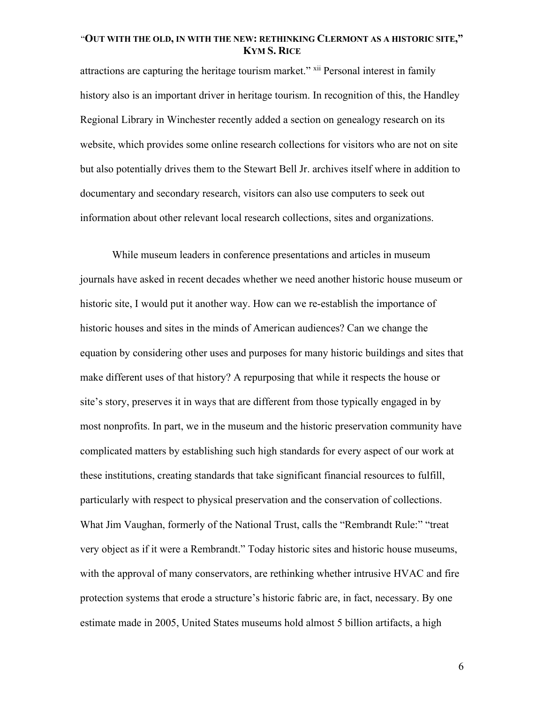attractions are capturing the heritage tourism market." xii Personal interest in family history also is an important driver in heritage tourism. In recognition of this, the Handley Regional Library in Winchester recently added a section on genealogy research on its website, which provides some online research collections for visitors who are not on site but also potentially drives them to the Stewart Bell Jr. archives itself where in addition to documentary and secondary research, visitors can also use computers to seek out information about other relevant local research collections, sites and organizations.

While museum leaders in conference presentations and articles in museum journals have asked in recent decades whether we need another historic house museum or historic site, I would put it another way. How can we re-establish the importance of historic houses and sites in the minds of American audiences? Can we change the equation by considering other uses and purposes for many historic buildings and sites that make different uses of that history? A repurposing that while it respects the house or site's story, preserves it in ways that are different from those typically engaged in by most nonprofits. In part, we in the museum and the historic preservation community have complicated matters by establishing such high standards for every aspect of our work at these institutions, creating standards that take significant financial resources to fulfill, particularly with respect to physical preservation and the conservation of collections. What Jim Vaughan, formerly of the National Trust, calls the "Rembrandt Rule:" "treat very object as if it were a Rembrandt." Today historic sites and historic house museums, with the approval of many conservators, are rethinking whether intrusive HVAC and fire protection systems that erode a structure's historic fabric are, in fact, necessary. By one estimate made in 2005, United States museums hold almost 5 billion artifacts, a high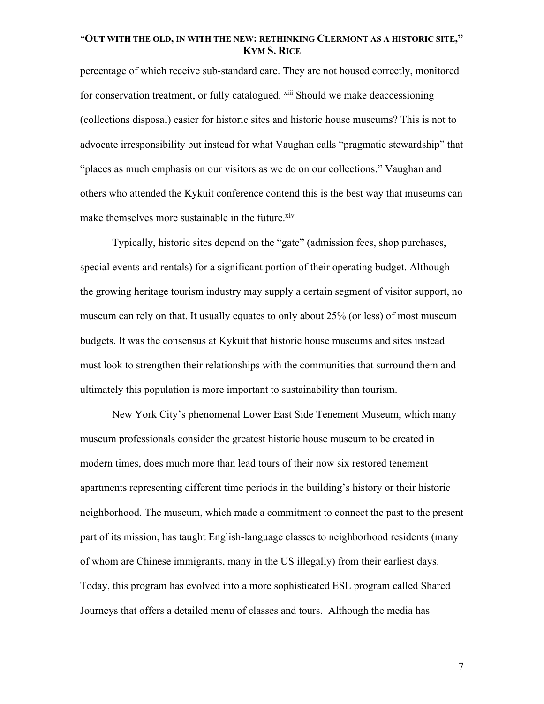percentage of which receive sub-standard care. They are not housed correctly, monitored for conservation treatment, or fully catalogued. <sup>xiii</sup> Should we make deaccessioning (collections disposal) easier for historic sites and historic house museums? This is not to advocate irresponsibility but instead for what Vaughan calls "pragmatic stewardship" that "places as much emphasis on our visitors as we do on our collections." Vaughan and others who attended the Kykuit conference contend this is the best way that museums can make themselves more sustainable in the future.<sup>xiv</sup>

Typically, historic sites depend on the "gate" (admission fees, shop purchases, special events and rentals) for a significant portion of their operating budget. Although the growing heritage tourism industry may supply a certain segment of visitor support, no museum can rely on that. It usually equates to only about 25% (or less) of most museum budgets. It was the consensus at Kykuit that historic house museums and sites instead must look to strengthen their relationships with the communities that surround them and ultimately this population is more important to sustainability than tourism.

New York City's phenomenal Lower East Side Tenement Museum, which many museum professionals consider the greatest historic house museum to be created in modern times, does much more than lead tours of their now six restored tenement apartments representing different time periods in the building's history or their historic neighborhood. The museum, which made a commitment to connect the past to the present part of its mission, has taught English-language classes to neighborhood residents (many of whom are Chinese immigrants, many in the US illegally) from their earliest days. Today, this program has evolved into a more sophisticated ESL program called Shared Journeys that offers a detailed menu of classes and tours. Although the media has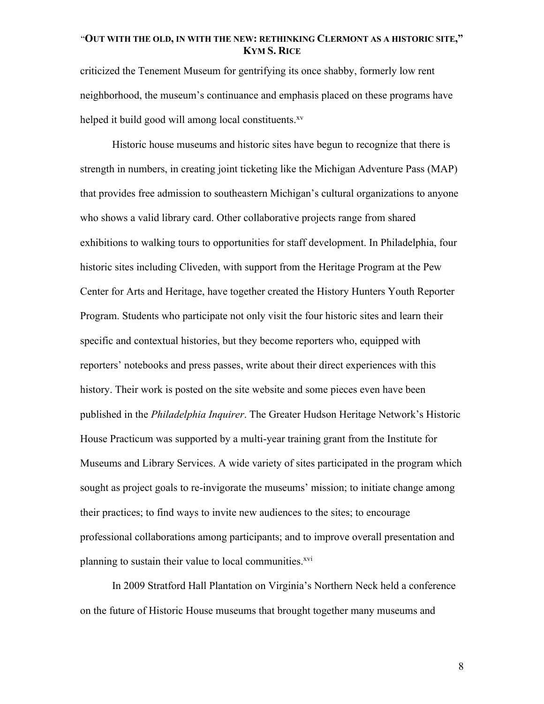criticized the Tenement Museum for gentrifying its once shabby, formerly low rent neighborhood, the museum's continuance and emphasis placed on these programs have helped it build good will among local constituents.<sup>xv</sup>

Historic house museums and historic sites have begun to recognize that there is strength in numbers, in creating joint ticketing like the Michigan Adventure Pass (MAP) that provides free admission to southeastern Michigan's cultural organizations to anyone who shows a valid library card. Other collaborative projects range from shared exhibitions to walking tours to opportunities for staff development. In Philadelphia, four historic sites including Cliveden, with support from the Heritage Program at the Pew Center for Arts and Heritage, have together created the History Hunters Youth Reporter Program. Students who participate not only visit the four historic sites and learn their specific and contextual histories, but they become reporters who, equipped with reporters' notebooks and press passes, write about their direct experiences with this history. Their work is posted on the site website and some pieces even have been published in the *Philadelphia Inquirer*. The Greater Hudson Heritage Network's Historic House Practicum was supported by a multi-year training grant from the Institute for Museums and Library Services. A wide variety of sites participated in the program which sought as project goals to re-invigorate the museums' mission; to initiate change among their practices; to find ways to invite new audiences to the sites; to encourage professional collaborations among participants; and to improve overall presentation and planning to sustain their value to local communities.<sup>xvi</sup>

In 2009 Stratford Hall Plantation on Virginia's Northern Neck held a conference on the future of Historic House museums that brought together many museums and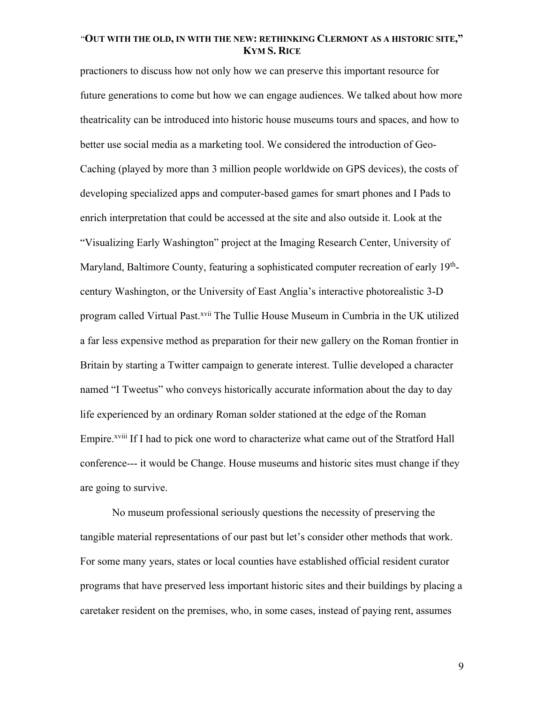practioners to discuss how not only how we can preserve this important resource for future generations to come but how we can engage audiences. We talked about how more theatricality can be introduced into historic house museums tours and spaces, and how to better use social media as a marketing tool. We considered the introduction of Geo-Caching (played by more than 3 million people worldwide on GPS devices), the costs of developing specialized apps and computer-based games for smart phones and I Pads to enrich interpretation that could be accessed at the site and also outside it. Look at the "Visualizing Early Washington" project at the Imaging Research Center, University of Maryland, Baltimore County, featuring a sophisticated computer recreation of early 19<sup>th</sup>century Washington, or the University of East Anglia's interactive photorealistic 3-D program called Virtual Past.<sup>xvii</sup> The Tullie House Museum in Cumbria in the UK utilized a far less expensive method as preparation for their new gallery on the Roman frontier in Britain by starting a Twitter campaign to generate interest. Tullie developed a character named "I Tweetus" who conveys historically accurate information about the day to day life experienced by an ordinary Roman solder stationed at the edge of the Roman Empire.<sup>xviii</sup> If I had to pick one word to characterize what came out of the Stratford Hall conference--- it would be Change. House museums and historic sites must change if they are going to survive.

No museum professional seriously questions the necessity of preserving the tangible material representations of our past but let's consider other methods that work. For some many years, states or local counties have established official resident curator programs that have preserved less important historic sites and their buildings by placing a caretaker resident on the premises, who, in some cases, instead of paying rent, assumes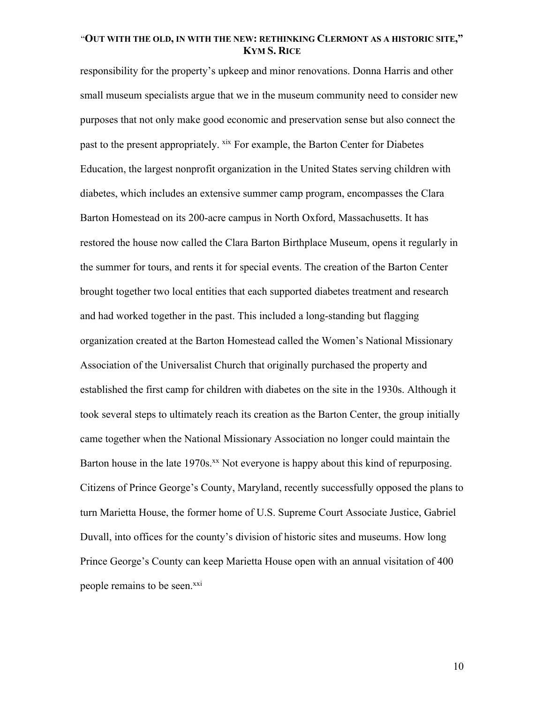responsibility for the property's upkeep and minor renovations. Donna Harris and other small museum specialists argue that we in the museum community need to consider new purposes that not only make good economic and preservation sense but also connect the past to the present appropriately. <sup>xix</sup> For example, the Barton Center for Diabetes Education, the largest nonprofit organization in the United States serving children with diabetes, which includes an extensive summer camp program, encompasses the Clara Barton Homestead on its 200-acre campus in North Oxford, Massachusetts. It has restored the house now called the Clara Barton Birthplace Museum, opens it regularly in the summer for tours, and rents it for special events. The creation of the Barton Center brought together two local entities that each supported diabetes treatment and research and had worked together in the past. This included a long-standing but flagging organization created at the Barton Homestead called the Women's National Missionary Association of the Universalist Church that originally purchased the property and established the first camp for children with diabetes on the site in the 1930s. Although it took several steps to ultimately reach its creation as the Barton Center, the group initially came together when the National Missionary Association no longer could maintain the Barton house in the late 1970s.<sup>xx</sup> Not everyone is happy about this kind of repurposing. Citizens of Prince George's County, Maryland, recently successfully opposed the plans to turn Marietta House, the former home of U.S. Supreme Court Associate Justice, Gabriel Duvall, into offices for the county's division of historic sites and museums. How long Prince George's County can keep Marietta House open with an annual visitation of 400 people remains to be seen.<sup>xxi</sup>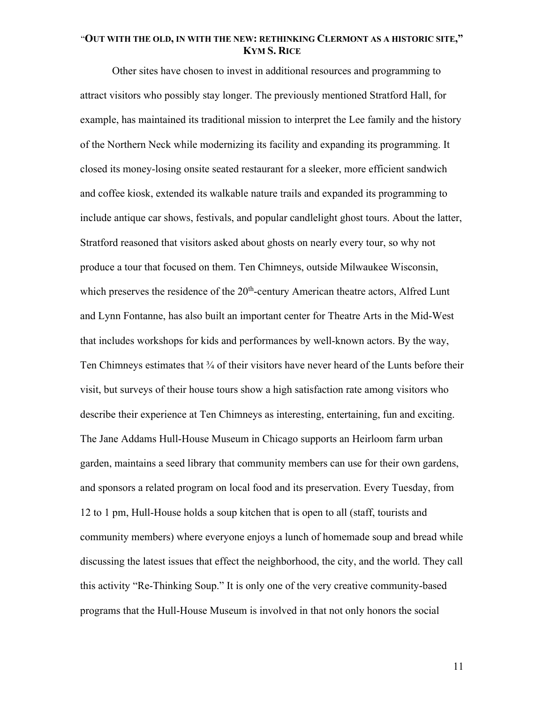Other sites have chosen to invest in additional resources and programming to attract visitors who possibly stay longer. The previously mentioned Stratford Hall, for example, has maintained its traditional mission to interpret the Lee family and the history of the Northern Neck while modernizing its facility and expanding its programming. It closed its money-losing onsite seated restaurant for a sleeker, more efficient sandwich and coffee kiosk, extended its walkable nature trails and expanded its programming to include antique car shows, festivals, and popular candlelight ghost tours. About the latter, Stratford reasoned that visitors asked about ghosts on nearly every tour, so why not produce a tour that focused on them. Ten Chimneys, outside Milwaukee Wisconsin, which preserves the residence of the 20<sup>th</sup>-century American theatre actors, Alfred Lunt and Lynn Fontanne, has also built an important center for Theatre Arts in the Mid-West that includes workshops for kids and performances by well-known actors. By the way, Ten Chimneys estimates that <sup>3</sup>/<sub>4</sub> of their visitors have never heard of the Lunts before their visit, but surveys of their house tours show a high satisfaction rate among visitors who describe their experience at Ten Chimneys as interesting, entertaining, fun and exciting. The Jane Addams Hull-House Museum in Chicago supports an Heirloom farm urban garden, maintains a seed library that community members can use for their own gardens, and sponsors a related program on local food and its preservation. Every Tuesday, from 12 to 1 pm, Hull-House holds a soup kitchen that is open to all (staff, tourists and community members) where everyone enjoys a lunch of homemade soup and bread while discussing the latest issues that effect the neighborhood, the city, and the world. They call this activity "Re-Thinking Soup." It is only one of the very creative community-based programs that the Hull-House Museum is involved in that not only honors the social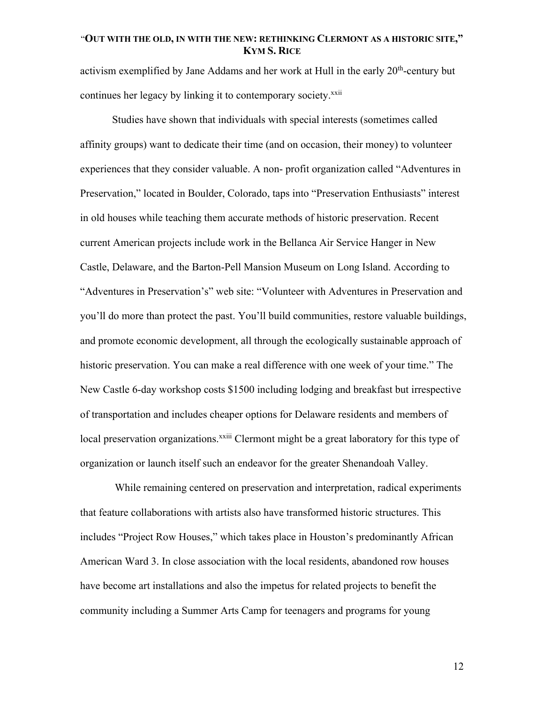activism exemplified by Jane Addams and her work at Hull in the early  $20<sup>th</sup>$ -century but continues her legacy by linking it to contemporary society.<sup>xxii</sup>

Studies have shown that individuals with special interests (sometimes called affinity groups) want to dedicate their time (and on occasion, their money) to volunteer experiences that they consider valuable. A non- profit organization called "Adventures in Preservation," located in Boulder, Colorado, taps into "Preservation Enthusiasts" interest in old houses while teaching them accurate methods of historic preservation. Recent current American projects include work in the Bellanca Air Service Hanger in New Castle, Delaware, and the Barton-Pell Mansion Museum on Long Island. According to "Adventures in Preservation's" web site: "Volunteer with Adventures in Preservation and you'll do more than protect the past. You'll build communities, restore valuable buildings, and promote economic development, all through the ecologically sustainable approach of historic preservation. You can make a real difference with one week of your time." The New Castle 6-day workshop costs \$1500 including lodging and breakfast but irrespective of transportation and includes cheaper options for Delaware residents and members of local preservation organizations.<sup>xxiii</sup> Clermont might be a great laboratory for this type of organization or launch itself such an endeavor for the greater Shenandoah Valley.

While remaining centered on preservation and interpretation, radical experiments that feature collaborations with artists also have transformed historic structures. This includes "Project Row Houses," which takes place in Houston's predominantly African American Ward 3. In close association with the local residents, abandoned row houses have become art installations and also the impetus for related projects to benefit the community including a Summer Arts Camp for teenagers and programs for young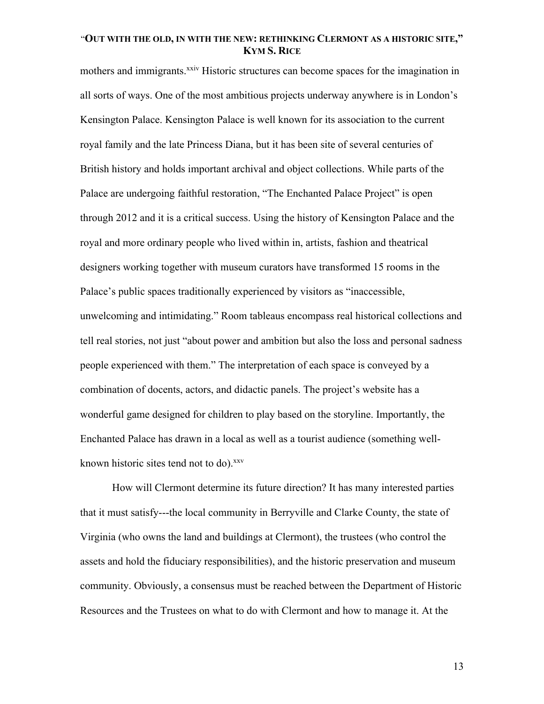mothers and immigrants.<sup>xxiv</sup> Historic structures can become spaces for the imagination in all sorts of ways. One of the most ambitious projects underway anywhere is in London's Kensington Palace. Kensington Palace is well known for its association to the current royal family and the late Princess Diana, but it has been site of several centuries of British history and holds important archival and object collections. While parts of the Palace are undergoing faithful restoration, "The Enchanted Palace Project" is open through 2012 and it is a critical success. Using the history of Kensington Palace and the royal and more ordinary people who lived within in, artists, fashion and theatrical designers working together with museum curators have transformed 15 rooms in the Palace's public spaces traditionally experienced by visitors as "inaccessible, unwelcoming and intimidating." Room tableaus encompass real historical collections and tell real stories, not just "about power and ambition but also the loss and personal sadness people experienced with them." The interpretation of each space is conveyed by a combination of docents, actors, and didactic panels. The project's website has a wonderful game designed for children to play based on the storyline. Importantly, the Enchanted Palace has drawn in a local as well as a tourist audience (something wellknown historic sites tend not to do).<sup>xxv</sup>

How will Clermont determine its future direction? It has many interested parties that it must satisfy---the local community in Berryville and Clarke County, the state of Virginia (who owns the land and buildings at Clermont), the trustees (who control the assets and hold the fiduciary responsibilities), and the historic preservation and museum community. Obviously, a consensus must be reached between the Department of Historic Resources and the Trustees on what to do with Clermont and how to manage it. At the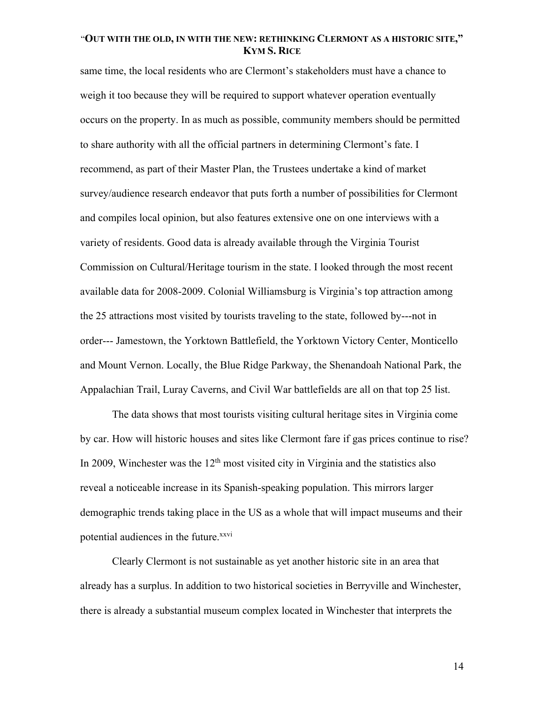same time, the local residents who are Clermont's stakeholders must have a chance to weigh it too because they will be required to support whatever operation eventually occurs on the property. In as much as possible, community members should be permitted to share authority with all the official partners in determining Clermont's fate. I recommend, as part of their Master Plan, the Trustees undertake a kind of market survey/audience research endeavor that puts forth a number of possibilities for Clermont and compiles local opinion, but also features extensive one on one interviews with a variety of residents. Good data is already available through the Virginia Tourist Commission on Cultural/Heritage tourism in the state. I looked through the most recent available data for 2008-2009. Colonial Williamsburg is Virginia's top attraction among the 25 attractions most visited by tourists traveling to the state, followed by---not in order--- Jamestown, the Yorktown Battlefield, the Yorktown Victory Center, Monticello and Mount Vernon. Locally, the Blue Ridge Parkway, the Shenandoah National Park, the Appalachian Trail, Luray Caverns, and Civil War battlefields are all on that top 25 list.

The data shows that most tourists visiting cultural heritage sites in Virginia come by car. How will historic houses and sites like Clermont fare if gas prices continue to rise? In 2009, Winchester was the  $12<sup>th</sup>$  most visited city in Virginia and the statistics also reveal a noticeable increase in its Spanish-speaking population. This mirrors larger demographic trends taking place in the US as a whole that will impact museums and their potential audiences in the future.<sup>xxvi</sup>

Clearly Clermont is not sustainable as yet another historic site in an area that already has a surplus. In addition to two historical societies in Berryville and Winchester, there is already a substantial museum complex located in Winchester that interprets the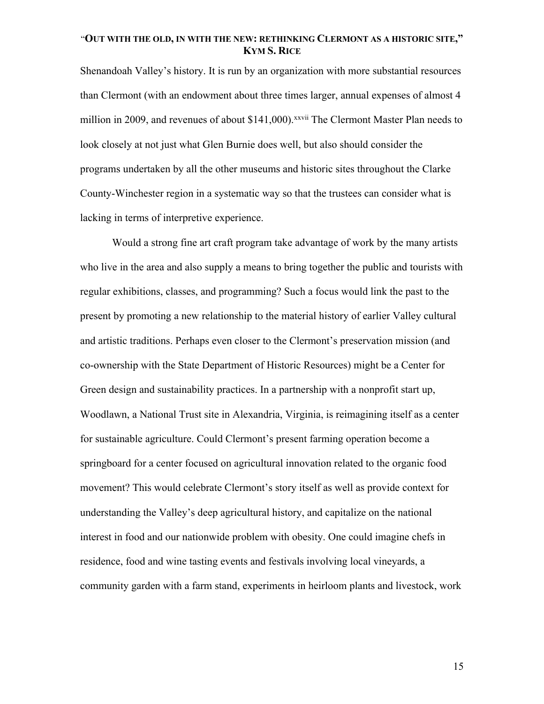Shenandoah Valley's history. It is run by an organization with more substantial resources than Clermont (with an endowment about three times larger, annual expenses of almost 4 million in 2009, and revenues of about \$141,000).<sup>xxvii</sup> The Clermont Master Plan needs to look closely at not just what Glen Burnie does well, but also should consider the programs undertaken by all the other museums and historic sites throughout the Clarke County-Winchester region in a systematic way so that the trustees can consider what is lacking in terms of interpretive experience.

Would a strong fine art craft program take advantage of work by the many artists who live in the area and also supply a means to bring together the public and tourists with regular exhibitions, classes, and programming? Such a focus would link the past to the present by promoting a new relationship to the material history of earlier Valley cultural and artistic traditions. Perhaps even closer to the Clermont's preservation mission (and co-ownership with the State Department of Historic Resources) might be a Center for Green design and sustainability practices. In a partnership with a nonprofit start up, Woodlawn, a National Trust site in Alexandria, Virginia, is reimagining itself as a center for sustainable agriculture. Could Clermont's present farming operation become a springboard for a center focused on agricultural innovation related to the organic food movement? This would celebrate Clermont's story itself as well as provide context for understanding the Valley's deep agricultural history, and capitalize on the national interest in food and our nationwide problem with obesity. One could imagine chefs in residence, food and wine tasting events and festivals involving local vineyards, a community garden with a farm stand, experiments in heirloom plants and livestock, work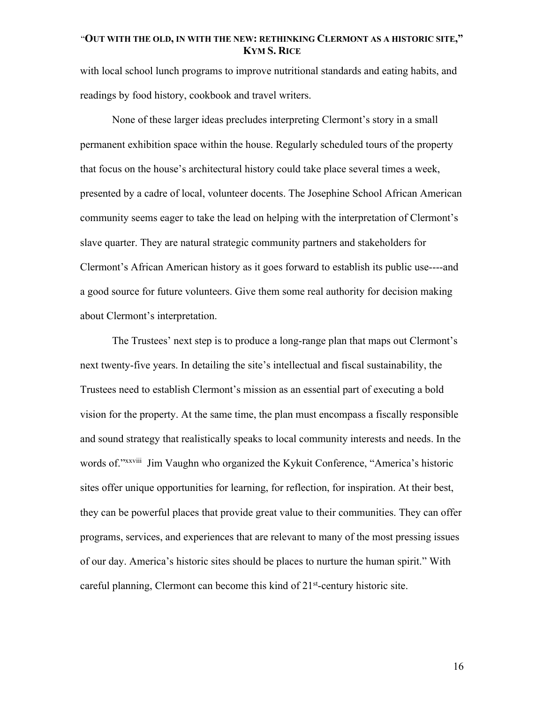with local school lunch programs to improve nutritional standards and eating habits, and readings by food history, cookbook and travel writers.

None of these larger ideas precludes interpreting Clermont's story in a small permanent exhibition space within the house. Regularly scheduled tours of the property that focus on the house's architectural history could take place several times a week, presented by a cadre of local, volunteer docents. The Josephine School African American community seems eager to take the lead on helping with the interpretation of Clermont's slave quarter. They are natural strategic community partners and stakeholders for Clermont's African American history as it goes forward to establish its public use----and a good source for future volunteers. Give them some real authority for decision making about Clermont's interpretation.

The Trustees' next step is to produce a long-range plan that maps out Clermont's next twenty-five years. In detailing the site's intellectual and fiscal sustainability, the Trustees need to establish Clermont's mission as an essential part of executing a bold vision for the property. At the same time, the plan must encompass a fiscally responsible and sound strategy that realistically speaks to local community interests and needs. In the words of."*xxviii* Jim Vaughn who organized the Kykuit Conference, "America's historic sites offer unique opportunities for learning, for reflection, for inspiration. At their best, they can be powerful places that provide great value to their communities. They can offer programs, services, and experiences that are relevant to many of the most pressing issues of our day. America's historic sites should be places to nurture the human spirit." With careful planning, Clermont can become this kind of  $21<sup>st</sup>$ -century historic site.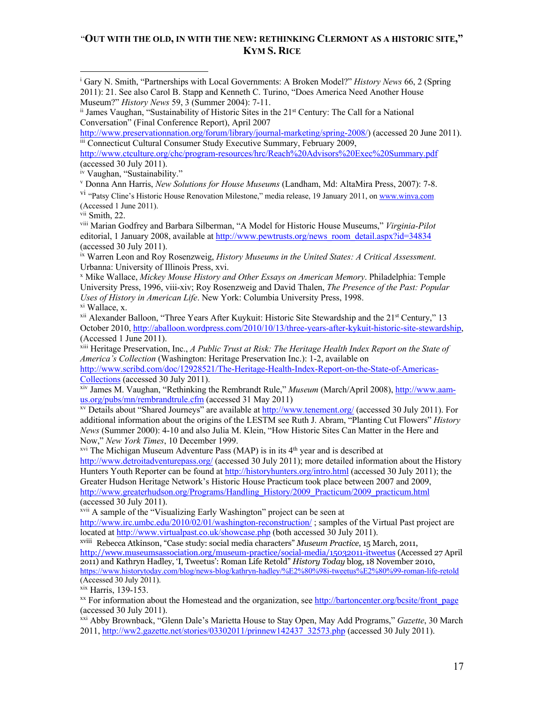<sup>i</sup> Gary N. Smith, "Partnerships with Local Governments: A Broken Model?" *History News* 66, 2 (Spring 2011): 21. See also Carol B. Stapp and Kenneth C. Turino, "Does America Need Another House Museum?" *History News* 59, 3 (Summer 2004): 7-11.

http://www.preservationnation.org/forum/library/journal-marketing/spring-2008/) (accessed 20 June 2011). iii Connecticut Cultural Consumer Study Executive Summary, February 2009,

http://www.ctculture.org/chc/program-resources/hrc/Reach%20Advisors%20Exec%20Summary.pdf (accessed 30 July 2011).

iv Vaughan, "Sustainability."

<sup>v</sup> Donna Ann Harris, *New Solutions for House Museums* (Landham, Md: AltaMira Press, 2007): 7-8. <sup>vi</sup> "Patsy Cline's Historic House Renovation Milestone," media release, 19 January 2011, on www.winva.com (Accessed 1 June 2011).

vii Smith, 22.

viii Marian Godfrey and Barbara Silberman, "A Model for Historic House Museums," *Virginia-Pilot* editorial, 1 January 2008, available at http://www.pewtrusts.org/news\_room\_detail.aspx?id=34834 (accessed 30 July 2011).

ix Warren Leon and Roy Rosenzweig, *History Museums in the United States: A Critical Assessment*. Urbanna: University of Illinois Press, xvi.

<sup>x</sup> Mike Wallace, *Mickey Mouse History and Other Essays on American Memory*. Philadelphia: Temple University Press, 1996, viii-xiv; Roy Rosenzweig and David Thalen, *The Presence of the Past: Popular Uses of History in American Life*. New York: Columbia University Press, 1998. xi Wallace, x.

<sup>xii</sup> Alexander Balloon, "Three Years After Kuykuit: Historic Site Stewardship and the 21<sup>st</sup> Century," 13 October 2010, http://aballoon.wordpress.com/2010/10/13/three-years-after-kykuit-historic-site-stewardship, (Accessed 1 June 2011).

xiii Heritage Preservation, Inc., *A Public Trust at Risk: The Heritage Health Index Report on the State of America's Collection* (Washington: Heritage Preservation Inc.): 1-2, available on http://www.scribd.com/doc/12928521/The-Heritage-Health-Index-Report-on-the-State-of-Americas-Collections (accessed 30 July 2011).

xiv James M. Vaughan, "Rethinking the Rembrandt Rule," *Museum* (March/April 2008), http://www.aamus.org/pubs/mn/rembrandtrule.cfm (accessed 31 May 2011)

xv Details about "Shared Journeys" are available at http://www.tenement.org/ (accessed 30 July 2011). For additional information about the origins of the LESTM see Ruth J. Abram, "Planting Cut Flowers" *History News* (Summer 2000): 4-10 and also Julia M. Klein, "How Historic Sites Can Matter in the Here and Now," *New York Times*, 10 December 1999.

 $x$ <sup>vi</sup> The Michigan Museum Adventure Pass (MAP) is in its  $4<sup>th</sup>$  year and is described at

http://www.detroitadventurepass.org/ (accessed 30 July 2011); more detailed information about the History Hunters Youth Reporter can be found at http://historyhunters.org/intro.html (accessed 30 July 2011); the Greater Hudson Heritage Network's Historic House Practicum took place between 2007 and 2009, http://www.greaterhudson.org/Programs/Handling\_History/2009\_Practicum/2009\_practicum.html (accessed  $30$  July  $2011$ ).

<sup>xvii</sup> A sample of the "Visualizing Early Washington" project can be seen at

http://www.irc.umbc.edu/2010/02/01/washington-reconstruction/; samples of the Virtual Past project are located at http://www.virtualpast.co.uk/showcase.php (both accessed 30 July 2011).

xviii Rebecca Atkinson, "Case study: social media characters" *Museum Practice*, 15 March, 2011, http://www.museumsassociation.org/museum-practice/social-media/15032011-itweetus (Accessed 27 April 2o11) and Kathryn Hadley, 'I, Tweetus': Roman Life Retold" *History Today* blog, 18 November 2010, https://www.historytoday.com/blog/news-blog/kathryn-hadley/%E2%80%98i-tweetus%E2%80%99-roman-life-retold (Accessed 30 July 2011).

xix Harris, 139-153.

xx For information about the Homestead and the organization, see http://bartoncenter.org/bcsite/front\_page (accessed 30 July 2011).

xxi Abby Brownback, "Glenn Dale's Marietta House to Stay Open, May Add Programs," *Gazette*, 30 March 2011, http://ww2.gazette.net/stories/03302011/prinnew142437\_32573.php (accessed 30 July 2011).

ii James Vaughan, "Sustainability of Historic Sites in the 21st Century: The Call for a National Conversation" (Final Conference Report), April 2007